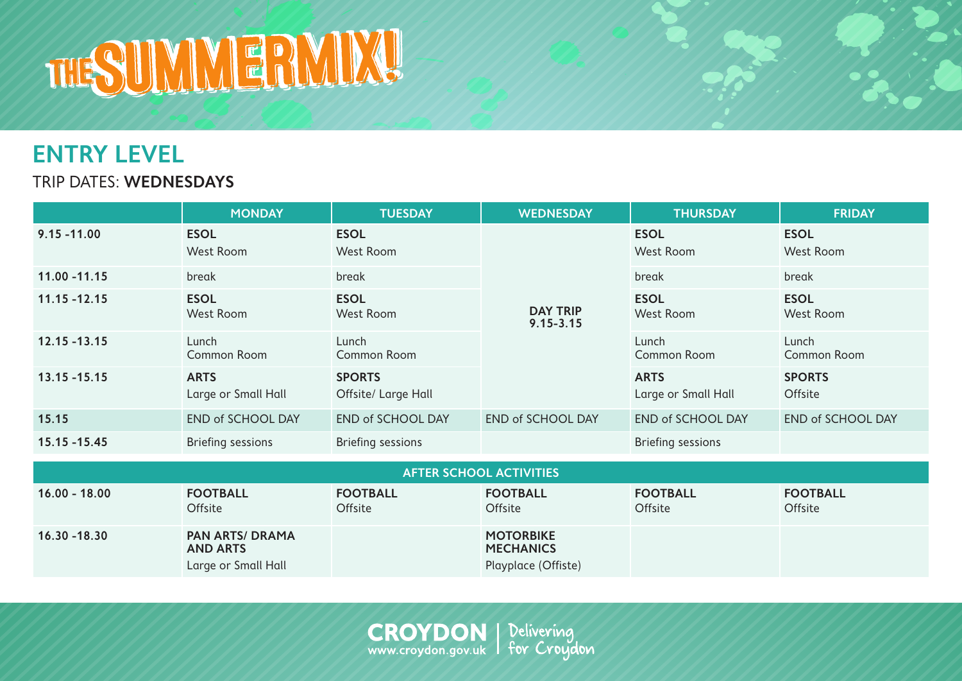## THE THE THE THE THE THE

## **ENTRY LEVEL**

TRIP DATES: **WEDNESDAYS**

|                                | <b>MONDAY</b>                      | <b>TUESDAY</b>                       | <b>WEDNESDAY</b>                 | <b>THURSDAY</b>                    | <b>FRIDAY</b>            |  |
|--------------------------------|------------------------------------|--------------------------------------|----------------------------------|------------------------------------|--------------------------|--|
| $9.15 - 11.00$                 | <b>ESOL</b><br>West Room           | <b>ESOL</b><br>West Room             | <b>DAY TRIP</b><br>$9.15 - 3.15$ | <b>ESOL</b><br>West Room           | <b>ESOL</b><br>West Room |  |
| 11.00 - 11.15                  | break                              | break                                |                                  | break                              | break                    |  |
| $11.15 - 12.15$                | <b>ESOL</b><br>West Room           | <b>ESOL</b><br>West Room             |                                  | <b>ESOL</b><br>West Room           | <b>ESOL</b><br>West Room |  |
| $12.15 - 13.15$                | Lunch<br>Common Room               | Lunch<br>Common Room                 |                                  | Lunch<br>Common Room               | Lunch<br>Common Room     |  |
| $13.15 - 15.15$                | <b>ARTS</b><br>Large or Small Hall | <b>SPORTS</b><br>Offsite/ Large Hall |                                  | <b>ARTS</b><br>Large or Small Hall | <b>SPORTS</b><br>Offsite |  |
| 15.15                          | <b>END of SCHOOL DAY</b>           | <b>END of SCHOOL DAY</b>             | <b>END of SCHOOL DAY</b>         | <b>END of SCHOOL DAY</b>           | <b>END of SCHOOL DAY</b> |  |
| 15.15 - 15.45                  | <b>Briefing sessions</b>           | <b>Briefing sessions</b>             |                                  | <b>Briefing sessions</b>           |                          |  |
| <b>AFTER SCHOOL ACTIVITIES</b> |                                    |                                      |                                  |                                    |                          |  |

| AL LEIVSCHOOL ACTIVITIES |                                           |                                   |                                      |                            |                                   |
|--------------------------|-------------------------------------------|-----------------------------------|--------------------------------------|----------------------------|-----------------------------------|
| $16.00 - 18.00$          | <b>FOOTBALL</b><br><b>Offsite</b>         | <b>FOOTBALL</b><br><b>Offsite</b> | <b>FOOTBALL</b><br><b>Offsite</b>    | <b>FOOTBALL</b><br>Offsite | <b>FOOTBALL</b><br><b>Offsite</b> |
| $16.30 - 18.30$          | <b>PAN ARTS/ DRAMA</b><br><b>AND ARTS</b> |                                   | <b>MOTORBIKE</b><br><b>MECHANICS</b> |                            |                                   |
|                          | Large or Small Hall                       |                                   | Playplace (Offiste)                  |                            |                                   |

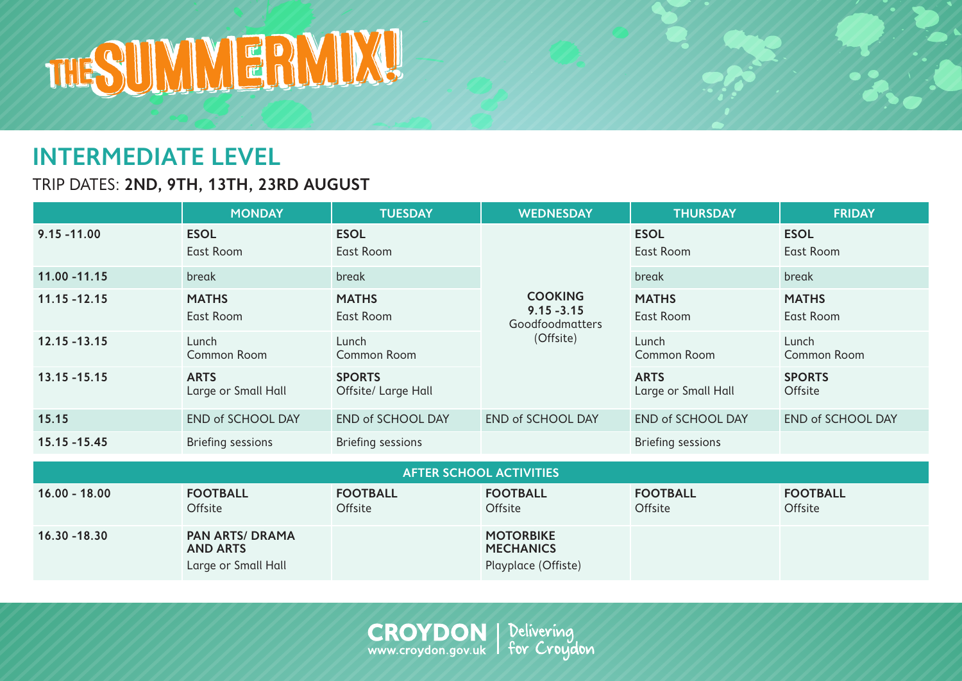

## **INTERMEDIATE LEVEL**

TRIP DATES: **2ND, 9TH, 13TH, 23RD AUGUST** 

|                         | <b>MONDAY</b>                      | <b>TUESDAY</b>                       | <b>WEDNESDAY</b>                                                | <b>THURSDAY</b>                    | <b>FRIDAY</b>             |  |
|-------------------------|------------------------------------|--------------------------------------|-----------------------------------------------------------------|------------------------------------|---------------------------|--|
| $9.15 - 11.00$          | <b>ESOL</b><br>East Room           | <b>ESOL</b><br>East Room             | <b>COOKING</b><br>$9.15 - 3.15$<br>Goodfoodmatters<br>(Offsite) | <b>ESOL</b><br>East Room           | <b>ESOL</b><br>East Room  |  |
| 11.00 - 11.15           | break                              | break                                |                                                                 | break                              | break                     |  |
| $11.15 - 12.15$         | <b>MATHS</b><br>East Room          | <b>MATHS</b><br>East Room            |                                                                 | <b>MATHS</b><br>East Room          | <b>MATHS</b><br>East Room |  |
| $12.15 - 13.15$         | Lunch<br>Common Room               | Lunch<br>Common Room                 |                                                                 | Lunch<br>Common Room               | Lunch<br>Common Room      |  |
| $13.15 - 15.15$         | <b>ARTS</b><br>Large or Small Hall | <b>SPORTS</b><br>Offsite/ Large Hall |                                                                 | <b>ARTS</b><br>Large or Small Hall | <b>SPORTS</b><br>Offsite  |  |
| 15.15                   | <b>END of SCHOOL DAY</b>           | <b>END of SCHOOL DAY</b>             | <b>END of SCHOOL DAY</b>                                        | <b>END of SCHOOL DAY</b>           | <b>END of SCHOOL DAY</b>  |  |
| 15.15 -15.45            | <b>Briefing sessions</b>           | <b>Briefing sessions</b>             |                                                                 | <b>Briefing sessions</b>           |                           |  |
| AETED COUOOL AOTIVITIES |                                    |                                      |                                                                 |                                    |                           |  |

| <b>AFTER SCHOOL ACTIVITIES</b> |                                                                  |                                   |                                                             |                            |                                   |  |
|--------------------------------|------------------------------------------------------------------|-----------------------------------|-------------------------------------------------------------|----------------------------|-----------------------------------|--|
| $16.00 - 18.00$                | <b>FOOTBALL</b><br>Offsite                                       | <b>FOOTBALL</b><br><b>Offsite</b> | <b>FOOTBALL</b><br>Offsite                                  | <b>FOOTBALL</b><br>Offsite | <b>FOOTBALL</b><br><b>Offsite</b> |  |
| $16.30 - 18.30$                | <b>PAN ARTS/ DRAMA</b><br><b>AND ARTS</b><br>Large or Small Hall |                                   | <b>MOTORBIKE</b><br><b>MECHANICS</b><br>Playplace (Offiste) |                            |                                   |  |